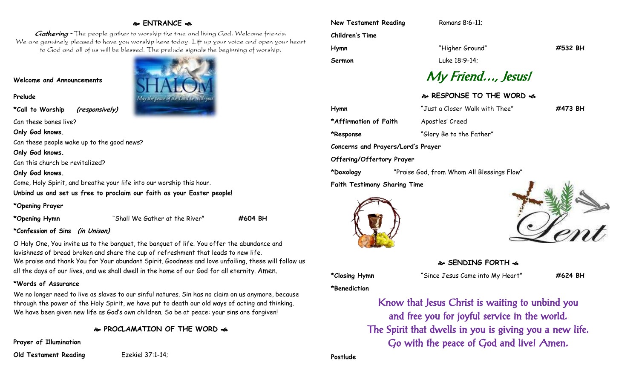# **ENTRANCE**

Gathering - The people gather to worship the true and living God. Welcome friends. We are genuinely pleased to have you worship here today. Lift up your voice and open your heart to God and all of us will be blessed. The prelude signals the beginning of worship.

#### **Welcome and Announcements**

**Prelude**

**\*Call to Worship (responsively)**

Can these bones live?

**Only God knows.**

Can these people wake up to the good news?

**Only God knows.**

Can this church be revitalized?

#### **Only God knows.**

Come, Holy Spirit, and breathe your life into our worship this hour.

**Unbind us and set us free to proclaim our faith as your Easter people!** 

#### **\*Opening Prayer**

**\*Opening Hymn** "Shall We Gather at the River" **#604 BH**

## **\*Confession of Sins (in Unison)**

O Holy One, You invite us to the banquet, the banquet of life. You offer the abundance and lavishness of bread broken and share the cup of refreshment that leads to new life. We praise and thank You for Your abundant Spirit. Goodness and love unfailing, these will follow us all the days of our lives, and we shall dwell in the home of our God for all eternity. Amen.

## **\*Words of Assurance**

We no longer need to live as slaves to our sinful natures. Sin has no claim on us anymore, because through the power of the Holy Spirit, we have put to death our old ways of acting and thinking. We have been given new life as God's own children. So be at peace: your sins are forgiven!

**PROCLAMATION OF THE WORD** 

**Prayer of Illumination**

**Old Testament Reading** Ezekiel 37:1-14;



| <b>New Testament Reading</b> |  |
|------------------------------|--|
| <b>Children's Time</b>       |  |
| Hymn                         |  |

**Hymn** "Higher Ground" **#532 BH**

**Romans 8:6-11:** 

**Sermon** Luke 18:9-14;

# My Friend…, Jesus!

# **RESPONSE TO THE WORD**

**Hymn** "Just a Closer Walk with Thee" **#473 BH \*Affirmation of Faith** Apostles' Creed **\*Response** "Glory Be to the Father" **Concerns and Prayers/Lord's Prayer**

**Offering/Offertory Prayer**

**\*Doxology** "Praise God, from Whom All Blessings Flow"

**Faith Testimony Sharing Time**





**SENDING FORTH**  $\cdot$ **6** 

**\*Closing Hymn** "Since Jesus Came into My Heart" **#624 BH**

**\*Benediction**

Know that Jesus Christ is waiting to unbind you and free you for joyful service in the world. The Spirit that dwells in you is giving you a new life. Go with the peace of God and live! Amen.

**Postlude**